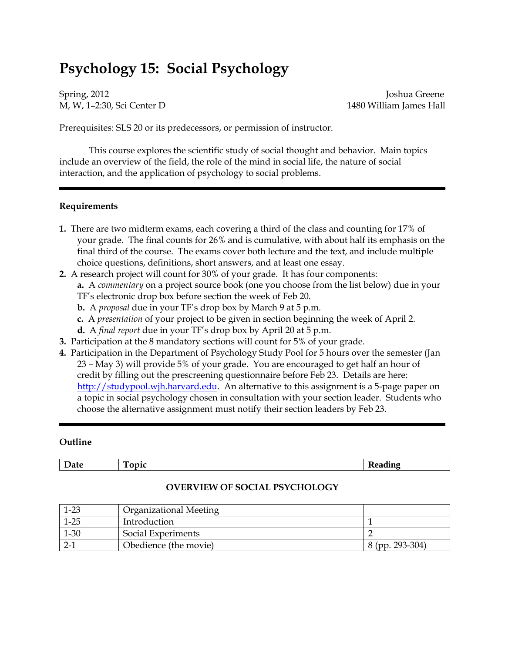# **Psychology 15: Social Psychology**

Spring, 2012 **Joshua Greene** M, W, 1–2:30, Sci Center D 1480 William James Hall

Prerequisites: SLS 20 or its predecessors, or permission of instructor.

This course explores the scientific study of social thought and behavior. Main topics include an overview of the field, the role of the mind in social life, the nature of social interaction, and the application of psychology to social problems.

#### **Requirements**

- **1.** There are two midterm exams, each covering a third of the class and counting for 17% of your grade. The final counts for 26% and is cumulative, with about half its emphasis on the final third of the course. The exams cover both lecture and the text, and include multiple choice questions, definitions, short answers, and at least one essay.
- **2.** A research project will count for 30% of your grade. It has four components: **a.** A *commentary* on a project source book (one you choose from the list below) due in your TF's electronic drop box before section the week of Feb 20.
	- **b.** A *proposal* due in your TF's drop box by March 9 at 5 p.m.
	- **c.** A *presentation* of your project to be given in section beginning the week of April 2.
	- **d.** A *final report* due in your TF's drop box by April 20 at 5 p.m.
- **3.** Participation at the 8 mandatory sections will count for 5% of your grade.
- **4.** Participation in the Department of Psychology Study Pool for 5 hours over the semester (Jan 23 – May 3) will provide 5% of your grade. You are encouraged to get half an hour of credit by filling out the prescreening questionnaire before Feb 23. Details are here: [http://studypool.wjh.harvard.edu](http://studypool.wjh.harvard.edu/). An alternative to this assignment is a 5-page paper on a topic in social psychology chosen in consultation with your section leader. Students who choose the alternative assignment must notify their section leaders by Feb 23.

#### **Outline**

| .<br>י גי<br>- |  |
|----------------|--|
|                |  |

| $1-23$   | Organizational Meeting |                 |
|----------|------------------------|-----------------|
| $1 - 25$ | Introduction           |                 |
| $1 - 30$ | Social Experiments     |                 |
| $2-1$    | Obedience (the movie)  | 8 (pp. 293-304) |

#### **OVERVIEW OF SOCIAL PSYCHOLOGY**